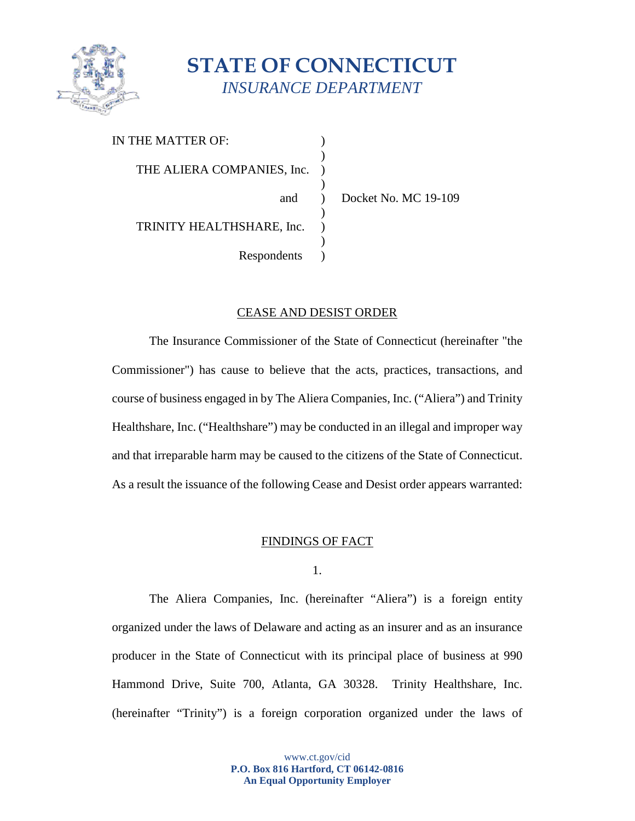

# **STATE OF CONNECTICUT** *INSURANCE DEPARTMENT*

| IN THE MATTER OF:          |  |
|----------------------------|--|
|                            |  |
| THE ALIERA COMPANIES, Inc. |  |
|                            |  |
| and                        |  |
|                            |  |
| TRINITY HEALTHSHARE, Inc.  |  |
|                            |  |
| Respondents                |  |
|                            |  |

Docket No. MC 19-109

# CEASE AND DESIST ORDER

The Insurance Commissioner of the State of Connecticut (hereinafter "the Commissioner") has cause to believe that the acts, practices, transactions, and course of business engaged in by The Aliera Companies, Inc. ("Aliera") and Trinity Healthshare, Inc. ("Healthshare") may be conducted in an illegal and improper way and that irreparable harm may be caused to the citizens of the State of Connecticut. As a result the issuance of the following Cease and Desist order appears warranted:

# FINDINGS OF FACT

1.

The Aliera Companies, Inc. (hereinafter "Aliera") is a foreign entity organized under the laws of Delaware and acting as an insurer and as an insurance producer in the State of Connecticut with its principal place of business at 990 Hammond Drive, Suite 700, Atlanta, GA 30328. Trinity Healthshare, Inc. (hereinafter "Trinity") is a foreign corporation organized under the laws of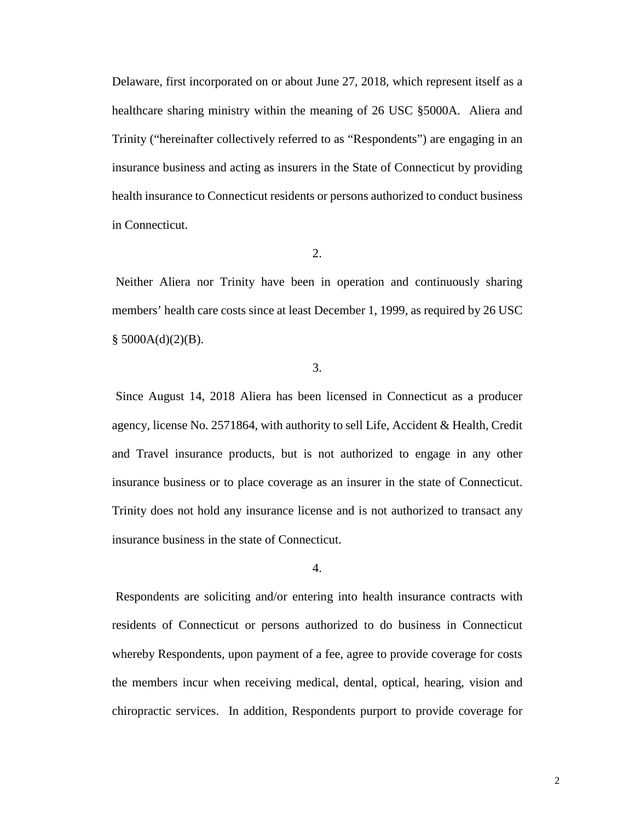Delaware, first incorporated on or about June 27, 2018, which represent itself as a healthcare sharing ministry within the meaning of 26 USC §5000A. Aliera and Trinity ("hereinafter collectively referred to as "Respondents") are engaging in an insurance business and acting as insurers in the State of Connecticut by providing health insurance to Connecticut residents or persons authorized to conduct business in Connecticut.

2.

Neither Aliera nor Trinity have been in operation and continuously sharing members' health care costs since at least December 1, 1999, as required by 26 USC  $§$  5000A(d)(2)(B).

3.

Since August 14, 2018 Aliera has been licensed in Connecticut as a producer agency, license No. 2571864, with authority to sell Life, Accident & Health, Credit and Travel insurance products, but is not authorized to engage in any other insurance business or to place coverage as an insurer in the state of Connecticut. Trinity does not hold any insurance license and is not authorized to transact any insurance business in the state of Connecticut.

4.

 Respondents are soliciting and/or entering into health insurance contracts with residents of Connecticut or persons authorized to do business in Connecticut whereby Respondents, upon payment of a fee, agree to provide coverage for costs the members incur when receiving medical, dental, optical, hearing, vision and chiropractic services. In addition, Respondents purport to provide coverage for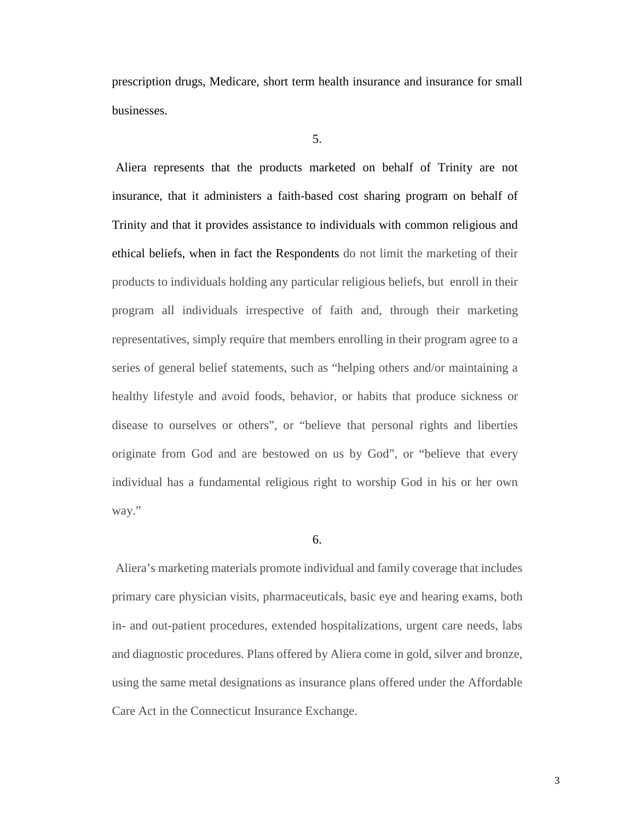prescription drugs, Medicare, short term health insurance and insurance for small businesses.

Aliera represents that the products marketed on behalf of Trinity are not insurance, that it administers a faith-based cost sharing program on behalf of Trinity and that it provides assistance to individuals with common religious and ethical beliefs, when in fact the Respondents do not limit the marketing of their products to individuals holding any particular religious beliefs, but enroll in their program all individuals irrespective of faith and, through their marketing representatives, simply require that members enrolling in their program agree to a series of general belief statements, such as "helping others and/or maintaining a healthy lifestyle and avoid foods, behavior, or habits that produce sickness or disease to ourselves or others", or "believe that personal rights and liberties originate from God and are bestowed on us by God", or "believe that every individual has a fundamental religious right to worship God in his or her own way."

#### 6.

Aliera's marketing materials promote individual and family coverage that includes primary care physician visits, pharmaceuticals, basic eye and hearing exams, both in- and out-patient procedures, extended hospitalizations, urgent care needs, labs and diagnostic procedures. Plans offered by Aliera come in gold, silver and bronze, using the same metal designations as insurance plans offered under the Affordable Care Act in the Connecticut Insurance Exchange.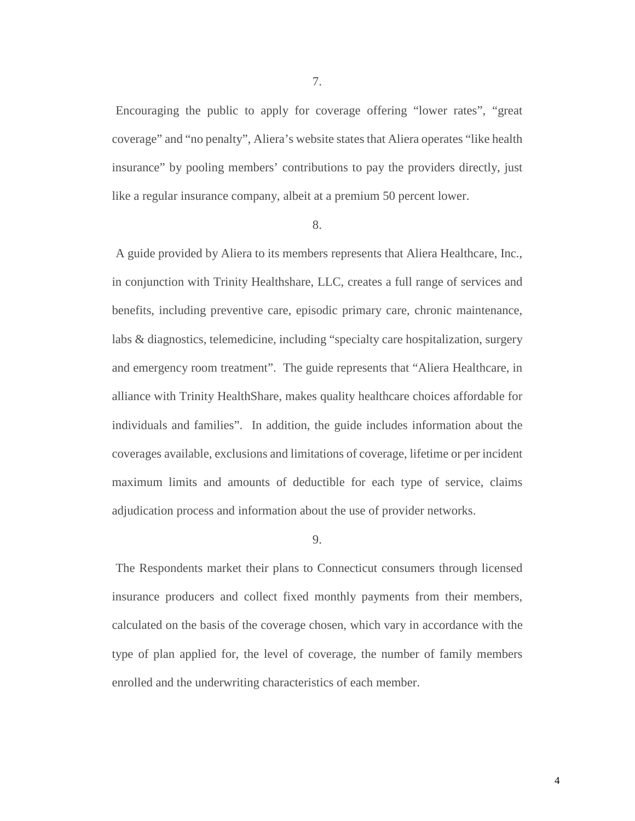7.

Encouraging the public to apply for coverage offering "lower rates", "great coverage" and "no penalty", Aliera's website states that Aliera operates "like health insurance" by pooling members' contributions to pay the providers directly, just like a regular insurance company, albeit at a premium 50 percent lower.

#### 8.

A guide provided by Aliera to its members represents that Aliera Healthcare, Inc., in conjunction with Trinity Healthshare, LLC, creates a full range of services and benefits, including preventive care, episodic primary care, chronic maintenance, labs & diagnostics, telemedicine, including "specialty care hospitalization, surgery and emergency room treatment". The guide represents that "Aliera Healthcare, in alliance with Trinity HealthShare, makes quality healthcare choices affordable for individuals and families". In addition, the guide includes information about the coverages available, exclusions and limitations of coverage, lifetime or per incident maximum limits and amounts of deductible for each type of service, claims adjudication process and information about the use of provider networks.

#### 9.

 The Respondents market their plans to Connecticut consumers through licensed insurance producers and collect fixed monthly payments from their members, calculated on the basis of the coverage chosen, which vary in accordance with the type of plan applied for, the level of coverage, the number of family members enrolled and the underwriting characteristics of each member.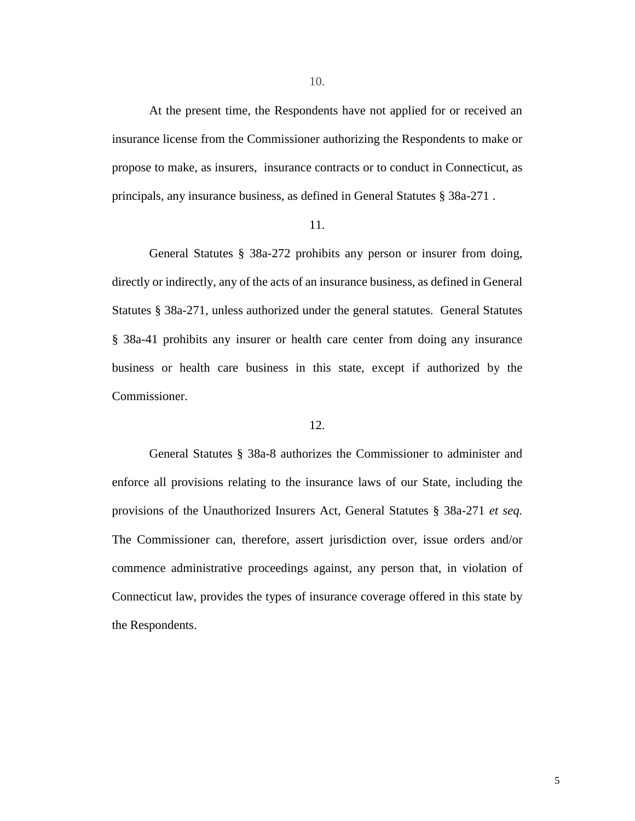At the present time, the Respondents have not applied for or received an insurance license from the Commissioner authorizing the Respondents to make or propose to make, as insurers, insurance contracts or to conduct in Connecticut, as principals, any insurance business, as defined in General Statutes § 38a-271 .

#### 11.

General Statutes § 38a-272 prohibits any person or insurer from doing, directly or indirectly, any of the acts of an insurance business, as defined in General Statutes § 38a-271, unless authorized under the general statutes. General Statutes § 38a-41 prohibits any insurer or health care center from doing any insurance business or health care business in this state, except if authorized by the Commissioner.

#### 12.

General Statutes § 38a-8 authorizes the Commissioner to administer and enforce all provisions relating to the insurance laws of our State, including the provisions of the Unauthorized Insurers Act, General Statutes § 38a-271 *et seq.* The Commissioner can, therefore, assert jurisdiction over, issue orders and/or commence administrative proceedings against, any person that, in violation of Connecticut law, provides the types of insurance coverage offered in this state by the Respondents.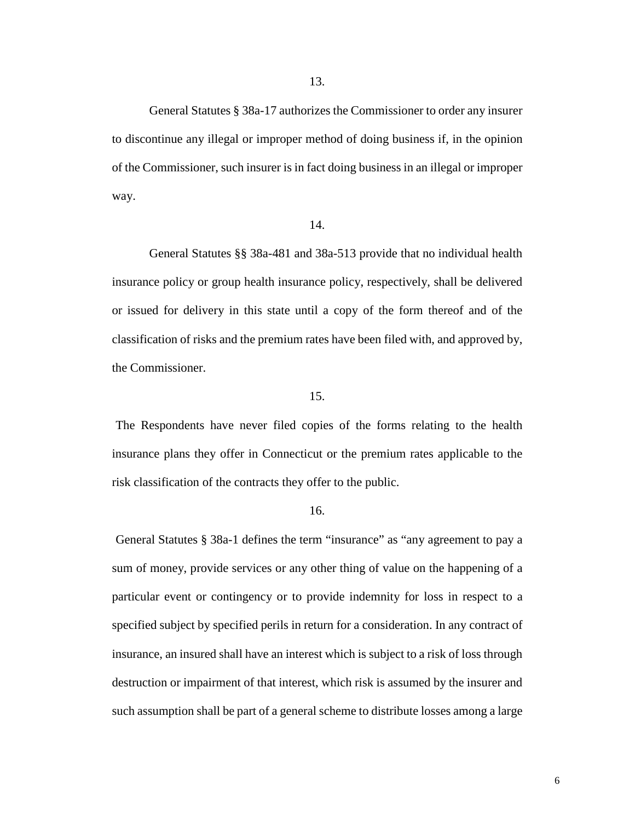General Statutes § 38a-17 authorizes the Commissioner to order any insurer to discontinue any illegal or improper method of doing business if, in the opinion of the Commissioner, such insurer is in fact doing business in an illegal or improper way.

### 14.

General Statutes §§ 38a-481 and 38a-513 provide that no individual health insurance policy or group health insurance policy, respectively, shall be delivered or issued for delivery in this state until a copy of the form thereof and of the classification of risks and the premium rates have been filed with, and approved by, the Commissioner.

#### 15.

The Respondents have never filed copies of the forms relating to the health insurance plans they offer in Connecticut or the premium rates applicable to the risk classification of the contracts they offer to the public.

#### 16.

General Statutes § 38a-1 defines the term "insurance" as "any agreement to pay a sum of money, provide services or any other thing of value on the happening of a particular event or contingency or to provide indemnity for loss in respect to a specified subject by specified perils in return for a consideration. In any contract of insurance, an insured shall have an interest which is subject to a risk of loss through destruction or impairment of that interest, which risk is assumed by the insurer and such assumption shall be part of a general scheme to distribute losses among a large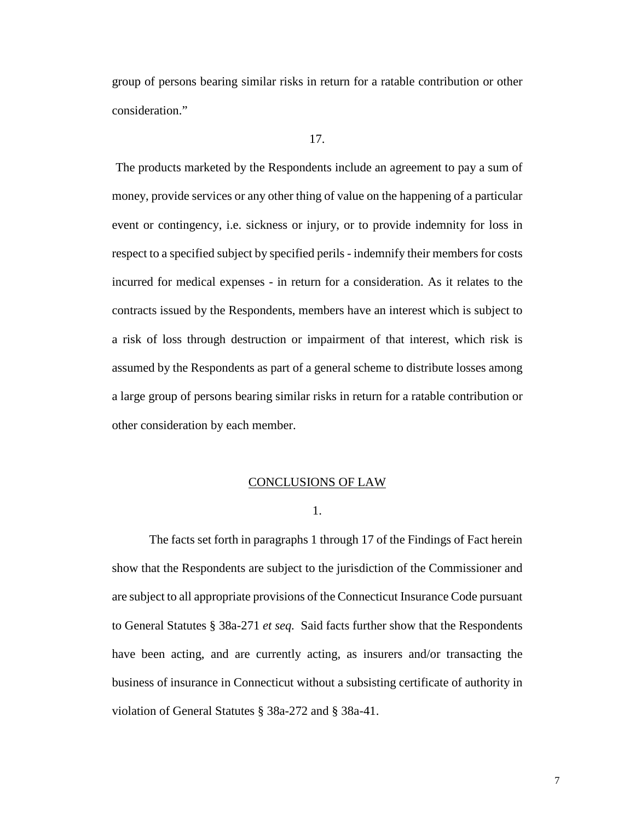group of persons bearing similar risks in return for a ratable contribution or other consideration."

The products marketed by the Respondents include an agreement to pay a sum of money, provide services or any other thing of value on the happening of a particular event or contingency, i.e. sickness or injury, or to provide indemnity for loss in respect to a specified subject by specified perils - indemnify their members for costs incurred for medical expenses - in return for a consideration. As it relates to the contracts issued by the Respondents, members have an interest which is subject to a risk of loss through destruction or impairment of that interest, which risk is assumed by the Respondents as part of a general scheme to distribute losses among a large group of persons bearing similar risks in return for a ratable contribution or other consideration by each member.

#### CONCLUSIONS OF LAW

1.

The facts set forth in paragraphs 1 through 17 of the Findings of Fact herein show that the Respondents are subject to the jurisdiction of the Commissioner and are subject to all appropriate provisions of the Connecticut Insurance Code pursuant to General Statutes § 38a-271 *et seq.* Said facts further show that the Respondents have been acting, and are currently acting, as insurers and/or transacting the business of insurance in Connecticut without a subsisting certificate of authority in violation of General Statutes § 38a-272 and § 38a-41.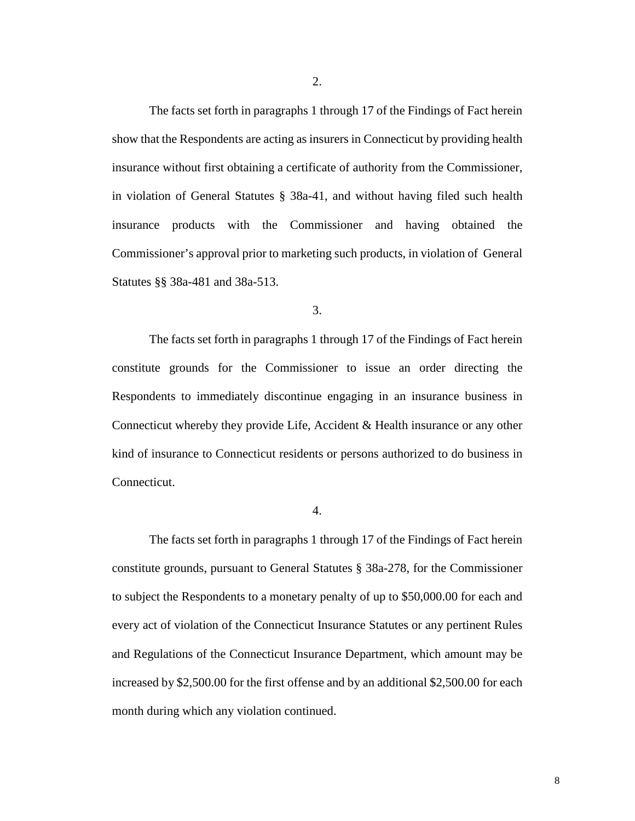2.

The facts set forth in paragraphs 1 through 17 of the Findings of Fact herein show that the Respondents are acting as insurers in Connecticut by providing health insurance without first obtaining a certificate of authority from the Commissioner, in violation of General Statutes § 38a-41, and without having filed such health insurance products with the Commissioner and having obtained the Commissioner's approval prior to marketing such products, in violation of General Statutes §§ 38a-481 and 38a-513.

3.

The facts set forth in paragraphs 1 through 17 of the Findings of Fact herein constitute grounds for the Commissioner to issue an order directing the Respondents to immediately discontinue engaging in an insurance business in Connecticut whereby they provide Life, Accident & Health insurance or any other kind of insurance to Connecticut residents or persons authorized to do business in Connecticut.

4.

The facts set forth in paragraphs 1 through 17 of the Findings of Fact herein constitute grounds, pursuant to General Statutes § 38a-278, for the Commissioner to subject the Respondents to a monetary penalty of up to \$50,000.00 for each and every act of violation of the Connecticut Insurance Statutes or any pertinent Rules and Regulations of the Connecticut Insurance Department, which amount may be increased by \$2,500.00 for the first offense and by an additional \$2,500.00 for each month during which any violation continued.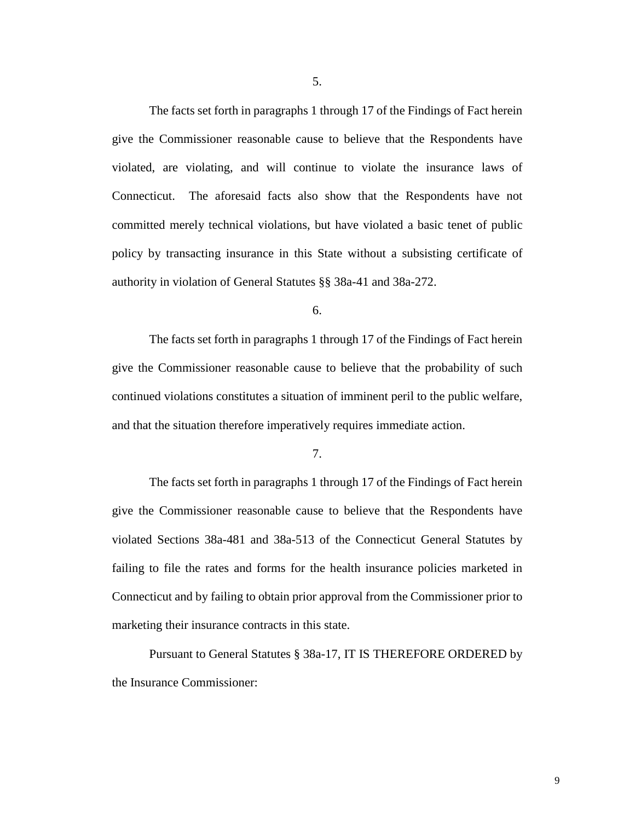The facts set forth in paragraphs 1 through 17 of the Findings of Fact herein give the Commissioner reasonable cause to believe that the Respondents have violated, are violating, and will continue to violate the insurance laws of Connecticut. The aforesaid facts also show that the Respondents have not committed merely technical violations, but have violated a basic tenet of public policy by transacting insurance in this State without a subsisting certificate of authority in violation of General Statutes §§ 38a-41 and 38a-272.

6.

The facts set forth in paragraphs 1 through 17 of the Findings of Fact herein give the Commissioner reasonable cause to believe that the probability of such continued violations constitutes a situation of imminent peril to the public welfare, and that the situation therefore imperatively requires immediate action.

7.

The facts set forth in paragraphs 1 through 17 of the Findings of Fact herein give the Commissioner reasonable cause to believe that the Respondents have violated Sections 38a-481 and 38a-513 of the Connecticut General Statutes by failing to file the rates and forms for the health insurance policies marketed in Connecticut and by failing to obtain prior approval from the Commissioner prior to marketing their insurance contracts in this state.

Pursuant to General Statutes § 38a-17, IT IS THEREFORE ORDERED by the Insurance Commissioner: